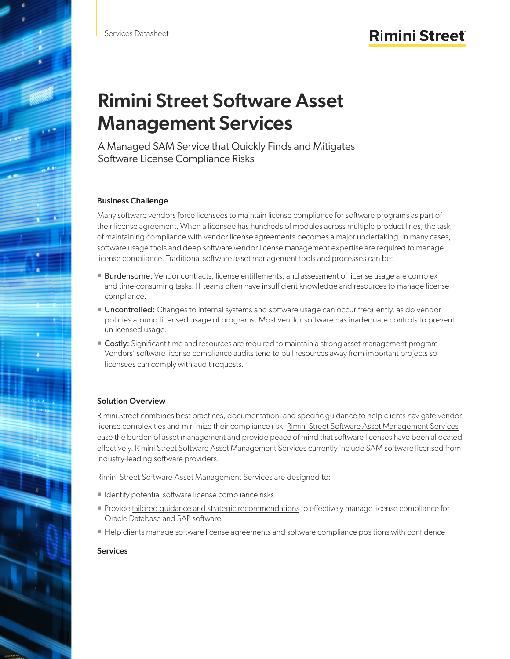# Rimini Street Software Asset Management Services

A Managed SAM Service that Quickly Finds and Mitigates Software License Compliance Risks

## Business Challenge

Many software vendors force licensees to maintain license compliance for software programs as part of their license agreement. When a licensee has hundreds of modules across multiple product lines, the task of maintaining compliance with vendor license agreements becomes a major undertaking. In many cases, software usage tools and deep software vendor license management expertise are required to manage license compliance. Traditional software asset management tools and processes can be:

- **Burdensome:** Vendor contracts, license entitlements, and assessment of license usage are complex and time-consuming tasks. IT teams often have insufficient knowledge and resources to manage license compliance.
- Uncontrolled: Changes to internal systems and software usage can occur frequently, as do vendor policies around licensed usage of programs. Most vendor software has inadequate controls to prevent unlicensed usage.
- Costly: Significant time and resources are required to maintain a strong asset management program. Vendors' software license compliance audits tend to pull resources away from important projects so licensees can comply with audit requests.

# Solution Overview

Rimini Street combines best practices, documentation, and specific guidance to help clients navigate vendor license complexities and minimize their compliance risk. [Rimini Street Software Asset Management Services](https://www.riministreet.com/solutions/support-services/license/) ease the burden of asset management and provide peace of mind that software licenses have been allocated effectively. Rimini Street Software Asset Management Services currently include SAM software licensed from industry-leading software providers.

Rimini Street Software Asset Management Services are designed to:

- I Identify potential software license compliance risks
- Provide [tailored guidance and strategic recommendations](https://www.riministreet.com/solutions/objective/software-licensing/) to effectively manage license compliance for Oracle Database and SAP software
- Help clients manage software license agreements and software compliance positions with confidence

## **Services**